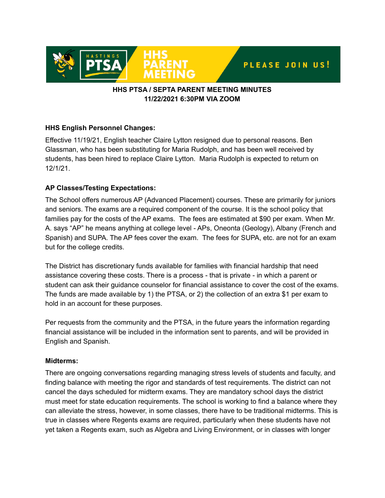

# **HHS PTSA / SEPTA PARENT MEETING MINUTES 11/22/2021 6:30PM VIA ZOOM**

# **HHS English Personnel Changes:**

Effective 11/19/21, English teacher Claire Lytton resigned due to personal reasons. Ben Glassman, who has been substituting for Maria Rudolph, and has been well received by students, has been hired to replace Claire Lytton. Maria Rudolph is expected to return on 12/1/21.

## **AP Classes/Testing Expectations:**

The School offers numerous AP (Advanced Placement) courses. These are primarily for juniors and seniors. The exams are a required component of the course. It is the school policy that families pay for the costs of the AP exams. The fees are estimated at \$90 per exam. When Mr. A. says "AP" he means anything at college level - APs, Oneonta (Geology), Albany (French and Spanish) and SUPA. The AP fees cover the exam. The fees for SUPA, etc. are not for an exam but for the college credits.

The District has discretionary funds available for families with financial hardship that need assistance covering these costs. There is a process - that is private - in which a parent or student can ask their guidance counselor for financial assistance to cover the cost of the exams. The funds are made available by 1) the PTSA, or 2) the collection of an extra \$1 per exam to hold in an account for these purposes.

Per requests from the community and the PTSA, in the future years the information regarding financial assistance will be included in the information sent to parents, and will be provided in English and Spanish.

## **Midterms:**

There are ongoing conversations regarding managing stress levels of students and faculty, and finding balance with meeting the rigor and standards of test requirements. The district can not cancel the days scheduled for midterm exams. They are mandatory school days the district must meet for state education requirements. The school is working to find a balance where they can alleviate the stress, however, in some classes, there have to be traditional midterms. This is true in classes where Regents exams are required, particularly when these students have not yet taken a Regents exam, such as Algebra and Living Environment, or in classes with longer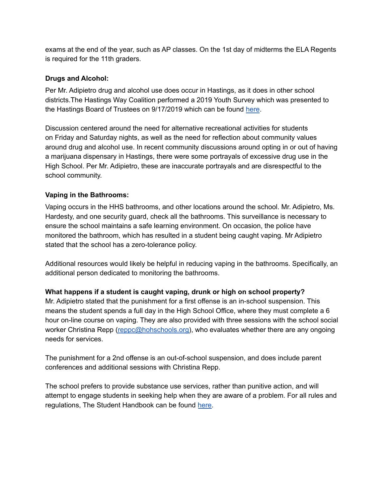exams at the end of the year, such as AP classes. On the 1st day of midterms the ELA Regents is required for the 11th graders.

#### **Drugs and Alcohol:**

Per Mr. Adipietro drug and alcohol use does occur in Hastings, as it does in other school districts.The Hastings Way Coalition performed a 2019 Youth Survey which was presented to the Hastings Board of Trustees on 9/17/2019 which can be found [here](https://www.youtube.com/watch?v=uoZqSvYyU5Q).

Discussion centered around the need for alternative recreational activities for students on Friday and Saturday nights, as well as the need for reflection about community values around drug and alcohol use. In recent community discussions around opting in or out of having a marijuana dispensary in Hastings, there were some portrayals of excessive drug use in the High School. Per Mr. Adipietro, these are inaccurate portrayals and are disrespectful to the school community.

## **Vaping in the Bathrooms:**

Vaping occurs in the HHS bathrooms, and other locations around the school. Mr. Adipietro, Ms. Hardesty, and one security guard, check all the bathrooms. This surveillance is necessary to ensure the school maintains a safe learning environment. On occasion, the police have monitored the bathroom, which has resulted in a student being caught vaping. Mr Adipietro stated that the school has a zero-tolerance policy.

Additional resources would likely be helpful in reducing vaping in the bathrooms. Specifically, an additional person dedicated to monitoring the bathrooms.

## **What happens if a student is caught vaping, drunk or high on school property?**

Mr. Adipietro stated that the punishment for a first offense is an in-school suspension. This means the student spends a full day in the High School Office, where they must complete a 6 hour on-line course on vaping. They are also provided with three sessions with the school social worker Christina Repp [\(reppc@hohschools.org\)](mailto:reppc@hohschools.org), who evaluates whether there are any ongoing needs for services.

The punishment for a 2nd offense is an out-of-school suspension, and does include parent conferences and additional sessions with Christina Repp.

The school prefers to provide substance use services, rather than punitive action, and will attempt to engage students in seeking help when they are aware of a problem. For all rules and regulations, The Student Handbook can be found [here.](https://www.hohschools.org/cms/lib/NY01913703/Centricity/Domain/10/BookProof.2.pdf)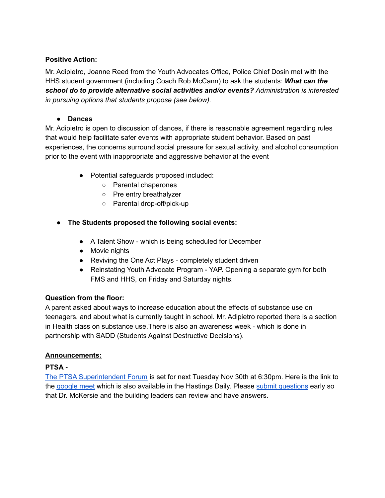# **Positive Action:**

Mr. Adipietro, Joanne Reed from the Youth Advocates Office, Police Chief Dosin met with the HHS student government (including Coach Rob McCann) to ask the students: *What can the school do to provide alternative social activities and/or events? Administration is interested in pursuing options that students propose (see below).*

# **● Dances**

Mr. Adipietro is open to discussion of dances, if there is reasonable agreement regarding rules that would help facilitate safer events with appropriate student behavior. Based on past experiences, the concerns surround social pressure for sexual activity, and alcohol consumption prior to the event with inappropriate and aggressive behavior at the event

- Potential safeguards proposed included:
	- Parental chaperones
	- Pre entry breathalyzer
	- Parental drop-off/pick-up
- **● The Students proposed the following social events:**
	- A Talent Show which is being scheduled for December
	- Movie nights
	- Reviving the One Act Plays completely student driven
	- Reinstating Youth Advocate Program YAP. Opening a separate gym for both FMS and HHS, on Friday and Saturday nights.

## **Question from the floor:**

A parent asked about ways to increase education about the effects of substance use on teenagers, and about what is currently taught in school. Mr. Adipietro reported there is a section in Health class on substance use.There is also an awareness week - which is done in partnership with SADD (Students Against Destructive Decisions).

## **Announcements:**

## **PTSA -**

The PTSA [Superintendent](https://drive.google.com/file/d/150Fmw93l-xPl0zNfPNNUMTozo6AEK_nL/view) Forum is set for next Tuesday Nov 30th at 6:30pm. Here is the link to the [google](https://meet.google.com/hjc-novn-uop) meet which is also available in the Hastings Daily. Please submit [questions](https://docs.google.com/forms/d/e/1FAIpQLSeJuYz6yc7-0pCBCOrU4rMFMhIPf-BOoUjup8ExBrHLB_vQLA/viewform) early so that Dr. McKersie and the building leaders can review and have answers.